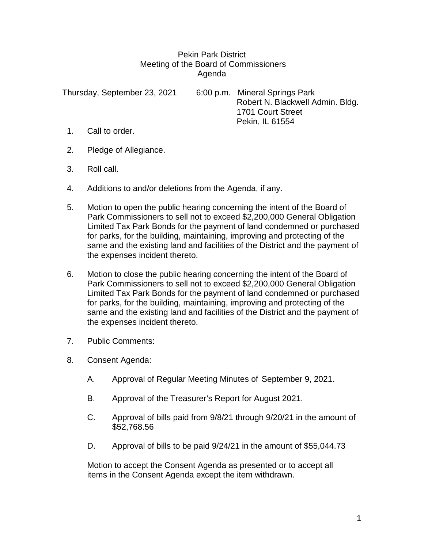## Pekin Park District Meeting of the Board of Commissioners Agenda

Thursday, September 23, 2021 6:00 p.m. Mineral Springs Park Robert N. Blackwell Admin. Bldg. 1701 Court Street Pekin, IL 61554

- 1. Call to order.
- 2. Pledge of Allegiance.
- 3. Roll call.
- 4. Additions to and/or deletions from the Agenda, if any.
- 5. Motion to open the public hearing concerning the intent of the Board of Park Commissioners to sell not to exceed \$2,200,000 General Obligation Limited Tax Park Bonds for the payment of land condemned or purchased for parks, for the building, maintaining, improving and protecting of the same and the existing land and facilities of the District and the payment of the expenses incident thereto.
- 6. Motion to close the public hearing concerning the intent of the Board of Park Commissioners to sell not to exceed \$2,200,000 General Obligation Limited Tax Park Bonds for the payment of land condemned or purchased for parks, for the building, maintaining, improving and protecting of the same and the existing land and facilities of the District and the payment of the expenses incident thereto.
- 7. Public Comments:
- 8. Consent Agenda:
	- A. Approval of Regular Meeting Minutes of September 9, 2021.
	- B. Approval of the Treasurer's Report for August 2021.
	- C. Approval of bills paid from 9/8/21 through 9/20/21 in the amount of \$52,768.56
	- D. Approval of bills to be paid 9/24/21 in the amount of \$55,044.73

Motion to accept the Consent Agenda as presented or to accept all items in the Consent Agenda except the item withdrawn.